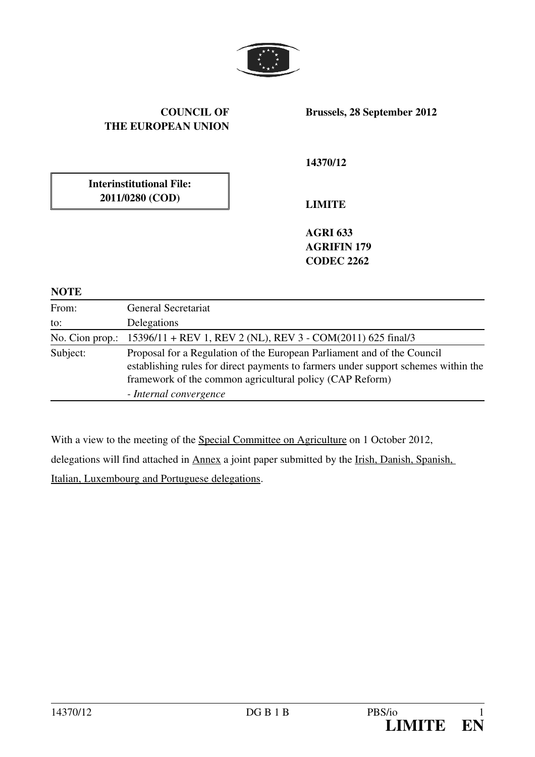

## COUNCIL OF THE EUROPEAN UNION

Brussels, 28 September 2012

14370/12

Interinstitutional File: 2011/0280 (COD)

LIMITE

AGRI 633 AGRIFIN 179 CODEC 2262

## **NOTE**

| From:    | General Secretariat                                                                                                                                                                                                                                 |
|----------|-----------------------------------------------------------------------------------------------------------------------------------------------------------------------------------------------------------------------------------------------------|
| to:      | Delegations                                                                                                                                                                                                                                         |
|          | No. Cion prop.: 15396/11 + REV 1, REV 2 (NL), REV 3 - COM(2011) 625 final/3                                                                                                                                                                         |
| Subject: | Proposal for a Regulation of the European Parliament and of the Council<br>establishing rules for direct payments to farmers under support schemes within the<br>framework of the common agricultural policy (CAP Reform)<br>- Internal convergence |

With a view to the meeting of the Special Committee on Agriculture on 1 October 2012,

delegations will find attached in Annex a joint paper submitted by the Irish, Danish, Spanish,

Italian, Luxembourg and Portuguese delegations.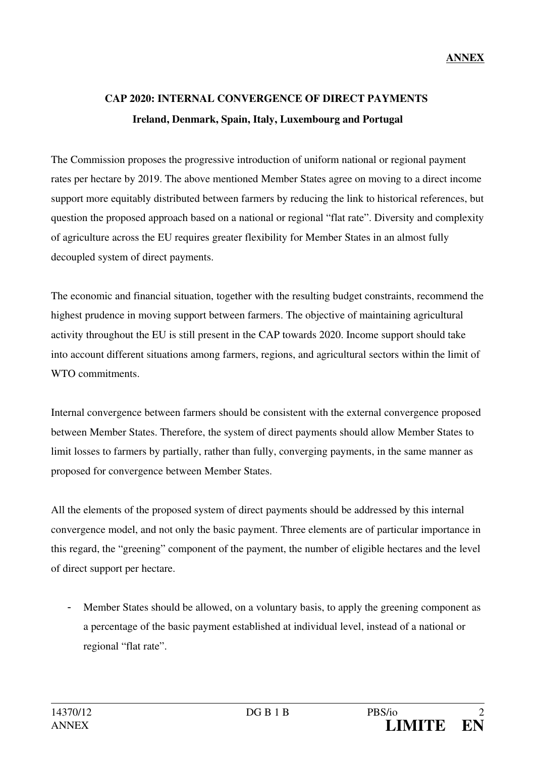## CAP 2020: INTERNAL CONVERGENCE OF DIRECT PAYMENTS Ireland, Denmark, Spain, Italy, Luxembourg and Portugal

The Commission proposes the progressive introduction of uniform national or regional payment rates per hectare by 2019. The above mentioned Member States agree on moving to a direct income support more equitably distributed between farmers by reducing the link to historical references, but question the proposed approach based on a national or regional "flat rate". Diversity and complexity of agriculture across the EU requires greater flexibility for Member States in an almost fully decoupled system of direct payments.

The economic and financial situation, together with the resulting budget constraints, recommend the highest prudence in moving support between farmers. The objective of maintaining agricultural activity throughout the EU is still present in the CAP towards 2020. Income support should take into account different situations among farmers, regions, and agricultural sectors within the limit of WTO commitments.

Internal convergence between farmers should be consistent with the external convergence proposed between Member States. Therefore, the system of direct payments should allow Member States to limit losses to farmers by partially, rather than fully, converging payments, in the same manner as proposed for convergence between Member States.

All the elements of the proposed system of direct payments should be addressed by this internal convergence model, and not only the basic payment. Three elements are of particular importance in this regard, the "greening" component of the payment, the number of eligible hectares and the level of direct support per hectare.

- Member States should be allowed, on a voluntary basis, to apply the greening component as a percentage of the basic payment established at individual level, instead of a national or regional "flat rate".